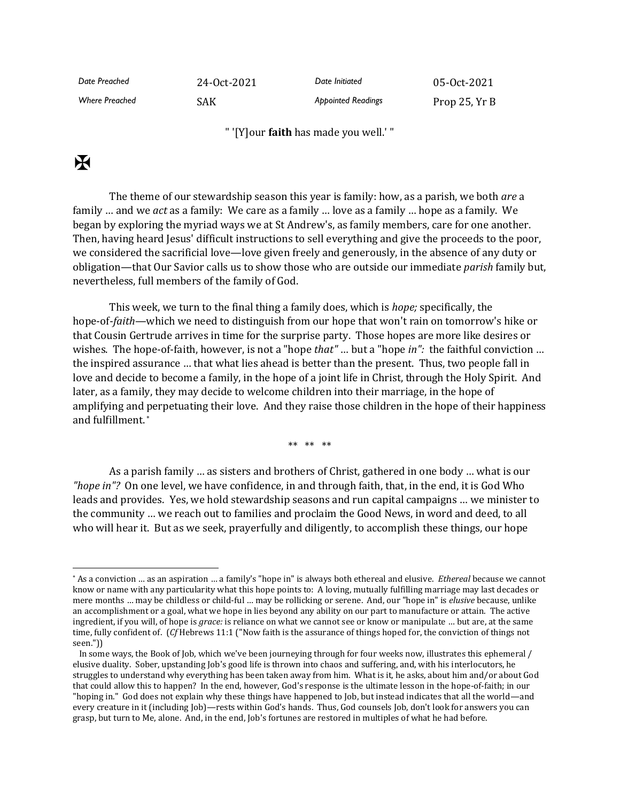| Date Preached         | 24-0ct-2021 | Date Initiated            | 05-0ct-2021   |
|-----------------------|-------------|---------------------------|---------------|
| <b>Where Preached</b> | SAK.        | <b>Appointed Readings</b> | Prop 25, Yr B |

" '[Y]our **faith** has made you well.' "

## $\mathbf K$

The theme of our stewardship season this year is family: how, as a parish, we both *are* a family … and we *act* as a family: We care as a family … love as a family … hope as a family. We began by exploring the myriad ways we at St Andrew's, as family members, care for one another. Then, having heard Jesus' difficult instructions to sell everything and give the proceeds to the poor, we considered the sacrificial love—love given freely and generously, in the absence of any duty or obligation—that Our Savior calls us to show those who are outside our immediate *parish* family but, nevertheless, full members of the family of God.

This week, we turn to the final thing a family does, which is *hope;* specifically, the hope-of-*faith—*which we need to distinguish from our hope that won't rain on tomorrow's hike or that Cousin Gertrude arrives in time for the surprise party. Those hopes are more like desires or wishes. The hope-of-faith, however, is not a "hope *that"* … but a "hope *in":* the faithful conviction … the inspired assurance … that what lies ahead is better than the present. Thus, two people fall in love and decide to become a family, in the hope of a joint life in Christ, through the Holy Spirit. And later, as a family, they may decide to welcome children into their marriage, in the hope of amplifying and perpetuating their love. And they raise those children in the hope of their happiness and fulfillment. \*

\*\* \*\* \*\*

As a parish family … as sisters and brothers of Christ, gathered in one body … what is our *"hope in"?* On one level, we have confidence, in and through faith, that, in the end, it is God Who leads and provides. Yes, we hold stewardship seasons and run capital campaigns … we minister to the community … we reach out to families and proclaim the Good News, in word and deed, to all who will hear it. But as we seek, prayerfully and diligently, to accomplish these things, our hope

<sup>\*</sup> As a conviction … as an aspiration … a family's "hope in" is always both ethereal and elusive. *Ethereal* because we cannot know or name with any particularity what this hope points to: A loving, mutually fulfilling marriage may last decades or mere months … may be childless or child-ful … may be rollicking or serene. And, our "hope in" is *elusive* because, unlike an accomplishment or a goal, what we hope in lies beyond any ability on our part to manufacture or attain. The active ingredient, if you will, of hope is *grace:* is reliance on what we cannot see or know or manipulate … but are, at the same time, fully confident of. (*Cf* Hebrews 11:1 ("Now faith is the assurance of things hoped for, the conviction of things not seen."))

In some ways, the Book of Job, which we've been journeying through for four weeks now, illustrates this ephemeral / elusive duality. Sober, upstanding Job's good life is thrown into chaos and suffering, and, with his interlocutors, he struggles to understand why everything has been taken away from him. What is it, he asks, about him and/or about God that could allow this to happen? In the end, however, God's response is the ultimate lesson in the hope-of-faith; in our "hoping in." God does not explain why these things have happened to Job, but instead indicates that all the world—and every creature in it (including Job)—rests within God's hands. Thus, God counsels Job, don't look for answers you can grasp, but turn to Me, alone. And, in the end, Job's fortunes are restored in multiples of what he had before.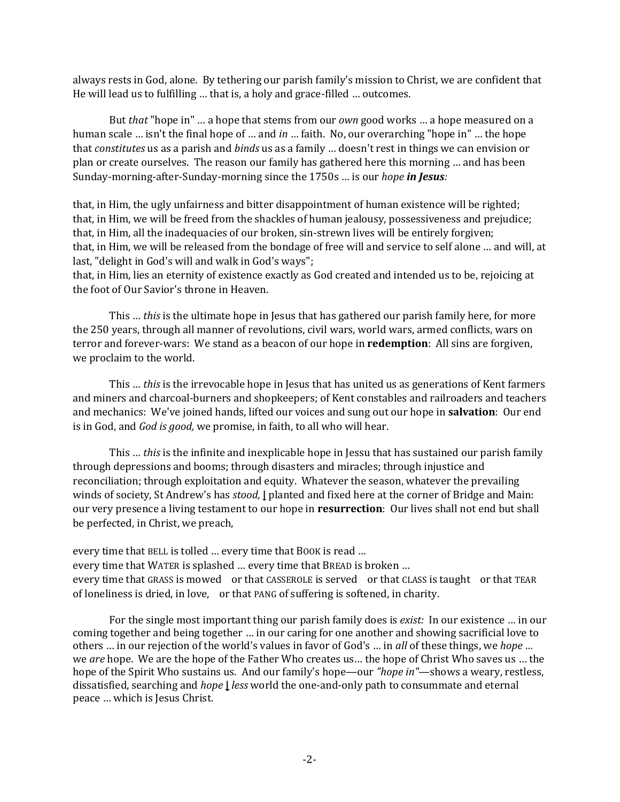always rests in God, alone. By tethering our parish family's mission to Christ, we are confident that He will lead us to fulfilling … that is, a holy and grace-filled … outcomes.

But *that* "hope in" … a hope that stems from our *own* good works … a hope measured on a human scale … isn't the final hope of … and *in* … faith. No, our overarching "hope in" … the hope that *constitutes* us as a parish and *binds* us as a family … doesn't rest in things we can envision or plan or create ourselves. The reason our family has gathered here this morning … and has been Sunday-morning-after-Sunday-morning since the 1750s … is our *hope in Jesus:*

that, in Him, the ugly unfairness and bitter disappointment of human existence will be righted; that, in Him, we will be freed from the shackles of human jealousy, possessiveness and prejudice; that, in Him, all the inadequacies of our broken, sin-strewn lives will be entirely forgiven; that, in Him, we will be released from the bondage of free will and service to self alone … and will, at last, "delight in God's will and walk in God's ways";

that, in Him, lies an eternity of existence exactly as God created and intended us to be, rejoicing at the foot of Our Savior's throne in Heaven.

This … *this* is the ultimate hope in Jesus that has gathered our parish family here, for more the 250 years, through all manner of revolutions, civil wars, world wars, armed conflicts, wars on terror and forever-wars: We stand as a beacon of our hope in **redemption**: All sins are forgiven, we proclaim to the world.

This … *this* is the irrevocable hope in Jesus that has united us as generations of Kent farmers and miners and charcoal-burners and shopkeepers; of Kent constables and railroaders and teachers and mechanics: We've joined hands, lifted our voices and sung out our hope in **salvation**: Our end is in God, and *God is good,* we promise, in faith, to all who will hear.

This … *this* is the infinite and inexplicable hope in Jessu that has sustained our parish family through depressions and booms; through disasters and miracles; through injustice and reconciliation; through exploitation and equity. Whatever the season, whatever the prevailing winds of society, St Andrew's has *stood,* **|** planted and fixed here at the corner of Bridge and Main: our very presence a living testament to our hope in **resurrection**: Our lives shall not end but shall be perfected, in Christ, we preach,

every time that BELL is tolled … every time that BOOK is read … every time that WATER is splashed … every time that BREAD is broken … every time that GRASS is mowed or that CASSEROLE is served or that CLASS is taught or that TEAR of loneliness is dried, in love, or that PANG of suffering is softened, in charity.

For the single most important thing our parish family does is *exist:* In our existence … in our coming together and being together … in our caring for one another and showing sacrificial love to others … in our rejection of the world's values in favor of God's … in *all* of these things, we *hope …*  we *are* hope. We are the hope of the Father Who creates us… the hope of Christ Who saves us … the hope of the Spirit Who sustains us. And our family's hope—our *"hope in"*—shows a weary, restless, dissatisfied, searching and *hope* **|** *less* world the one-and-only path to consummate and eternal peace … which is Jesus Christ.